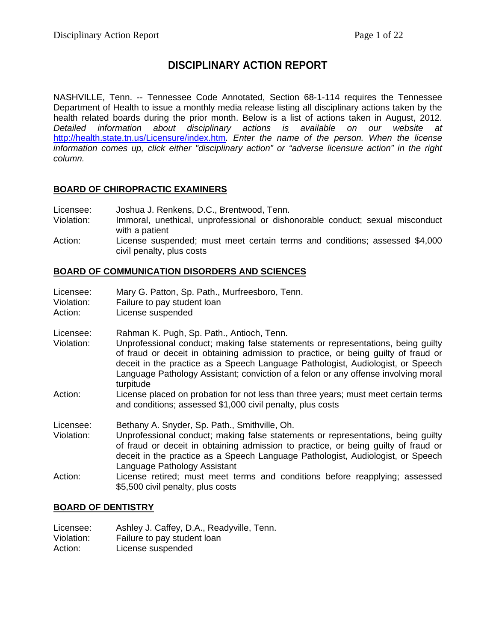# **DISCIPLINARY ACTION REPORT**

NASHVILLE, Tenn. -- Tennessee Code Annotated, Section 68-1-114 requires the Tennessee Department of Health to issue a monthly media release listing all disciplinary actions taken by the health related boards during the prior month. Below is a list of actions taken in August, 2012. *Detailed information about disciplinary actions is available on our website at*  <http://health.state.tn.us/Licensure/index.htm>*. Enter the name of the person. When the license information comes up, click either "disciplinary action" or "adverse licensure action" in the right column.*

## **BOARD OF CHIROPRACTIC EXAMINERS**

- Licensee: Joshua J. Renkens, D.C., Brentwood, Tenn.<br>Violation: Immoral. unethical. unprofessional or dishe
- Immoral, unethical, unprofessional or dishonorable conduct; sexual misconduct with a patient
- Action: License suspended; must meet certain terms and conditions; assessed \$4,000 civil penalty, plus costs

## **BOARD OF COMMUNICATION DISORDERS AND SCIENCES**

| Licensee:<br>Violation:<br>Action: | Mary G. Patton, Sp. Path., Murfreesboro, Tenn.<br>Failure to pay student loan<br>License suspended                                                                                                                                                                                                                                                                                                        |
|------------------------------------|-----------------------------------------------------------------------------------------------------------------------------------------------------------------------------------------------------------------------------------------------------------------------------------------------------------------------------------------------------------------------------------------------------------|
| Licensee:<br>Violation:            | Rahman K. Pugh, Sp. Path., Antioch, Tenn.<br>Unprofessional conduct; making false statements or representations, being guilty<br>of fraud or deceit in obtaining admission to practice, or being guilty of fraud or<br>deceit in the practice as a Speech Language Pathologist, Audiologist, or Speech<br>Language Pathology Assistant; conviction of a felon or any offense involving moral<br>turpitude |
| Action:                            | License placed on probation for not less than three years; must meet certain terms<br>and conditions; assessed \$1,000 civil penalty, plus costs                                                                                                                                                                                                                                                          |
| Licensee:<br>Violation:            | Bethany A. Snyder, Sp. Path., Smithville, Oh.<br>Unprofessional conduct; making false statements or representations, being guilty<br>of fraud or deceit in obtaining admission to practice, or being guilty of fraud or<br>deceit in the practice as a Speech Language Pathologist, Audiologist, or Speech<br>Language Pathology Assistant                                                                |
| Action:                            | License retired; must meet terms and conditions before reapplying; assessed<br>\$5,500 civil penalty, plus costs                                                                                                                                                                                                                                                                                          |

## **BOARD OF DENTISTRY**

| Licensee:  | Ashley J. Caffey, D.A., Readyville, Tenn. |
|------------|-------------------------------------------|
| Violation: | Failure to pay student loan               |
| Action:    | License suspended                         |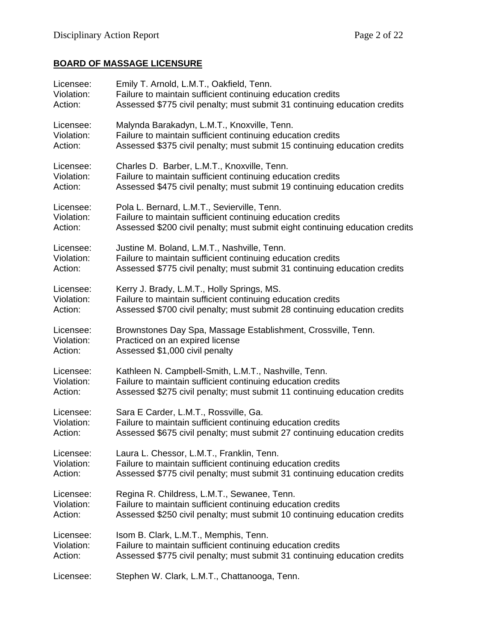## **BOARD OF MASSAGE LICENSURE**

| Licensee:  | Emily T. Arnold, L.M.T., Oakfield, Tenn.                                     |
|------------|------------------------------------------------------------------------------|
| Violation: | Failure to maintain sufficient continuing education credits                  |
| Action:    | Assessed \$775 civil penalty; must submit 31 continuing education credits    |
| Licensee:  | Malynda Barakadyn, L.M.T., Knoxville, Tenn.                                  |
| Violation: | Failure to maintain sufficient continuing education credits                  |
| Action:    | Assessed \$375 civil penalty; must submit 15 continuing education credits    |
| Licensee:  | Charles D. Barber, L.M.T., Knoxville, Tenn.                                  |
| Violation: | Failure to maintain sufficient continuing education credits                  |
| Action:    | Assessed \$475 civil penalty; must submit 19 continuing education credits    |
| Licensee:  | Pola L. Bernard, L.M.T., Sevierville, Tenn.                                  |
| Violation: | Failure to maintain sufficient continuing education credits                  |
| Action:    | Assessed \$200 civil penalty; must submit eight continuing education credits |
| Licensee:  | Justine M. Boland, L.M.T., Nashville, Tenn.                                  |
| Violation: | Failure to maintain sufficient continuing education credits                  |
| Action:    | Assessed \$775 civil penalty; must submit 31 continuing education credits    |
| Licensee:  | Kerry J. Brady, L.M.T., Holly Springs, MS.                                   |
| Violation: | Failure to maintain sufficient continuing education credits                  |
| Action:    | Assessed \$700 civil penalty; must submit 28 continuing education credits    |
| Licensee:  | Brownstones Day Spa, Massage Establishment, Crossville, Tenn.                |
| Violation: | Practiced on an expired license                                              |
| Action:    | Assessed \$1,000 civil penalty                                               |
| Licensee:  | Kathleen N. Campbell-Smith, L.M.T., Nashville, Tenn.                         |
| Violation: | Failure to maintain sufficient continuing education credits                  |
| Action:    | Assessed \$275 civil penalty; must submit 11 continuing education credits    |
| Licensee:  | Sara E Carder, L.M.T., Rossville, Ga.                                        |
| Violation: | Failure to maintain sufficient continuing education credits                  |
| Action:    | Assessed \$675 civil penalty; must submit 27 continuing education credits    |
| Licensee:  | Laura L. Chessor, L.M.T., Franklin, Tenn.                                    |
| Violation: | Failure to maintain sufficient continuing education credits                  |
| Action:    | Assessed \$775 civil penalty; must submit 31 continuing education credits    |
| Licensee:  | Regina R. Childress, L.M.T., Sewanee, Tenn.                                  |
| Violation: | Failure to maintain sufficient continuing education credits                  |
| Action:    | Assessed \$250 civil penalty; must submit 10 continuing education credits    |
| Licensee:  | Isom B. Clark, L.M.T., Memphis, Tenn.                                        |
| Violation: | Failure to maintain sufficient continuing education credits                  |
| Action:    | Assessed \$775 civil penalty; must submit 31 continuing education credits    |
| Licensee:  | Stephen W. Clark, L.M.T., Chattanooga, Tenn.                                 |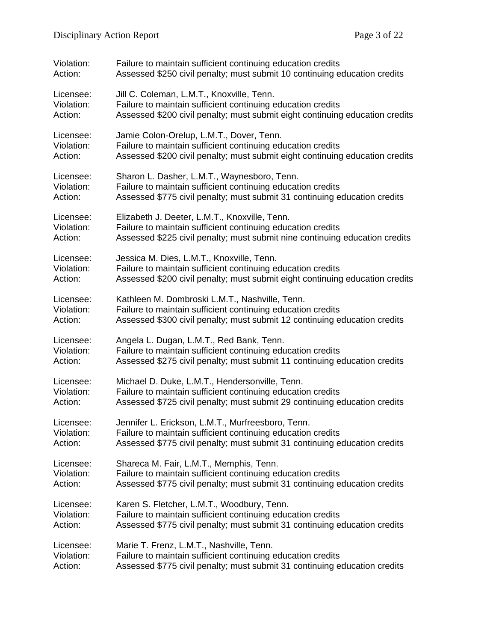| Violation: | Failure to maintain sufficient continuing education credits                  |
|------------|------------------------------------------------------------------------------|
| Action:    | Assessed \$250 civil penalty; must submit 10 continuing education credits    |
| Licensee:  | Jill C. Coleman, L.M.T., Knoxville, Tenn.                                    |
| Violation: | Failure to maintain sufficient continuing education credits                  |
| Action:    | Assessed \$200 civil penalty; must submit eight continuing education credits |
| Licensee:  | Jamie Colon-Orelup, L.M.T., Dover, Tenn.                                     |
| Violation: | Failure to maintain sufficient continuing education credits                  |
| Action:    | Assessed \$200 civil penalty; must submit eight continuing education credits |
| Licensee:  | Sharon L. Dasher, L.M.T., Waynesboro, Tenn.                                  |
| Violation: | Failure to maintain sufficient continuing education credits                  |
| Action:    | Assessed \$775 civil penalty; must submit 31 continuing education credits    |
| Licensee:  | Elizabeth J. Deeter, L.M.T., Knoxville, Tenn.                                |
| Violation: | Failure to maintain sufficient continuing education credits                  |
| Action:    | Assessed \$225 civil penalty; must submit nine continuing education credits  |
| Licensee:  | Jessica M. Dies, L.M.T., Knoxville, Tenn.                                    |
| Violation: | Failure to maintain sufficient continuing education credits                  |
| Action:    | Assessed \$200 civil penalty; must submit eight continuing education credits |
| Licensee:  | Kathleen M. Dombroski L.M.T., Nashville, Tenn.                               |
| Violation: | Failure to maintain sufficient continuing education credits                  |
| Action:    | Assessed \$300 civil penalty; must submit 12 continuing education credits    |
| Licensee:  | Angela L. Dugan, L.M.T., Red Bank, Tenn.                                     |
| Violation: | Failure to maintain sufficient continuing education credits                  |
| Action:    | Assessed \$275 civil penalty; must submit 11 continuing education credits    |
| Licensee:  | Michael D. Duke, L.M.T., Hendersonville, Tenn.                               |
| Violation: | Failure to maintain sufficient continuing education credits                  |
| Action:    | Assessed \$725 civil penalty; must submit 29 continuing education credits    |
| Licensee:  | Jennifer L. Erickson, L.M.T., Murfreesboro, Tenn.                            |
| Violation: | Failure to maintain sufficient continuing education credits                  |
| Action:    | Assessed \$775 civil penalty; must submit 31 continuing education credits    |
| Licensee:  | Shareca M. Fair, L.M.T., Memphis, Tenn.                                      |
| Violation: | Failure to maintain sufficient continuing education credits                  |
| Action:    | Assessed \$775 civil penalty; must submit 31 continuing education credits    |
| Licensee:  | Karen S. Fletcher, L.M.T., Woodbury, Tenn.                                   |
| Violation: | Failure to maintain sufficient continuing education credits                  |
| Action:    | Assessed \$775 civil penalty; must submit 31 continuing education credits    |
| Licensee:  | Marie T. Frenz, L.M.T., Nashville, Tenn.                                     |
| Violation: | Failure to maintain sufficient continuing education credits                  |
| Action:    | Assessed \$775 civil penalty; must submit 31 continuing education credits    |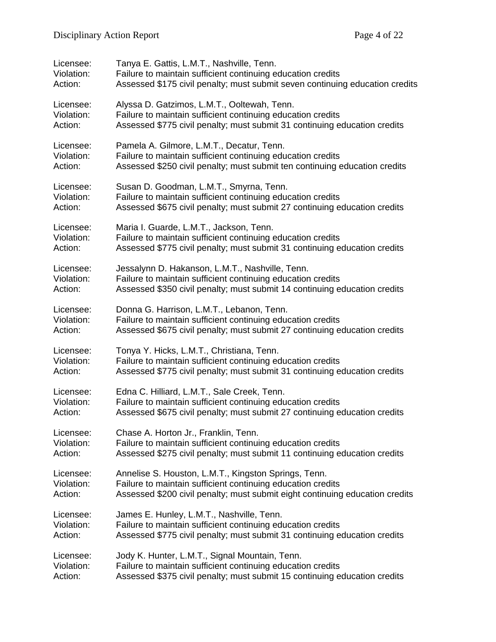| Licensee:  | Tanya E. Gattis, L.M.T., Nashville, Tenn.                                    |
|------------|------------------------------------------------------------------------------|
| Violation: | Failure to maintain sufficient continuing education credits                  |
| Action:    | Assessed \$175 civil penalty; must submit seven continuing education credits |
| Licensee:  | Alyssa D. Gatzimos, L.M.T., Ooltewah, Tenn.                                  |
| Violation: | Failure to maintain sufficient continuing education credits                  |
| Action:    | Assessed \$775 civil penalty; must submit 31 continuing education credits    |
| Licensee:  | Pamela A. Gilmore, L.M.T., Decatur, Tenn.                                    |
| Violation: | Failure to maintain sufficient continuing education credits                  |
| Action:    | Assessed \$250 civil penalty; must submit ten continuing education credits   |
| Licensee:  | Susan D. Goodman, L.M.T., Smyrna, Tenn.                                      |
| Violation: | Failure to maintain sufficient continuing education credits                  |
| Action:    | Assessed \$675 civil penalty; must submit 27 continuing education credits    |
| Licensee:  | Maria I. Guarde, L.M.T., Jackson, Tenn.                                      |
| Violation: | Failure to maintain sufficient continuing education credits                  |
| Action:    | Assessed \$775 civil penalty; must submit 31 continuing education credits    |
| Licensee:  | Jessalynn D. Hakanson, L.M.T., Nashville, Tenn.                              |
| Violation: | Failure to maintain sufficient continuing education credits                  |
| Action:    | Assessed \$350 civil penalty; must submit 14 continuing education credits    |
| Licensee:  | Donna G. Harrison, L.M.T., Lebanon, Tenn.                                    |
| Violation: | Failure to maintain sufficient continuing education credits                  |
| Action:    | Assessed \$675 civil penalty; must submit 27 continuing education credits    |
| Licensee:  | Tonya Y. Hicks, L.M.T., Christiana, Tenn.                                    |
| Violation: | Failure to maintain sufficient continuing education credits                  |
| Action:    | Assessed \$775 civil penalty; must submit 31 continuing education credits    |
| Licensee:  | Edna C. Hilliard, L.M.T., Sale Creek, Tenn.                                  |
| Violation: | Failure to maintain sufficient continuing education credits                  |
| Action:    | Assessed \$675 civil penalty; must submit 27 continuing education credits    |
| Licensee:  | Chase A. Horton Jr., Franklin, Tenn.                                         |
| Violation: | Failure to maintain sufficient continuing education credits                  |
| Action:    | Assessed \$275 civil penalty; must submit 11 continuing education credits    |
| Licensee:  | Annelise S. Houston, L.M.T., Kingston Springs, Tenn.                         |
| Violation: | Failure to maintain sufficient continuing education credits                  |
| Action:    | Assessed \$200 civil penalty; must submit eight continuing education credits |
| Licensee:  | James E. Hunley, L.M.T., Nashville, Tenn.                                    |
| Violation: | Failure to maintain sufficient continuing education credits                  |
| Action:    | Assessed \$775 civil penalty; must submit 31 continuing education credits    |
| Licensee:  | Jody K. Hunter, L.M.T., Signal Mountain, Tenn.                               |
| Violation: | Failure to maintain sufficient continuing education credits                  |
| Action:    | Assessed \$375 civil penalty; must submit 15 continuing education credits    |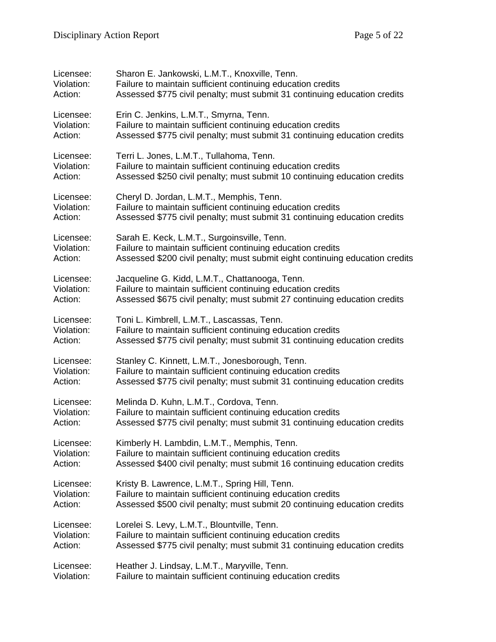| Licensee:  | Sharon E. Jankowski, L.M.T., Knoxville, Tenn.                                |
|------------|------------------------------------------------------------------------------|
| Violation: | Failure to maintain sufficient continuing education credits                  |
| Action:    | Assessed \$775 civil penalty; must submit 31 continuing education credits    |
| Licensee:  | Erin C. Jenkins, L.M.T., Smyrna, Tenn.                                       |
| Violation: | Failure to maintain sufficient continuing education credits                  |
| Action:    | Assessed \$775 civil penalty; must submit 31 continuing education credits    |
| Licensee:  | Terri L. Jones, L.M.T., Tullahoma, Tenn.                                     |
| Violation: | Failure to maintain sufficient continuing education credits                  |
| Action:    | Assessed \$250 civil penalty; must submit 10 continuing education credits    |
| Licensee:  | Cheryl D. Jordan, L.M.T., Memphis, Tenn.                                     |
| Violation: | Failure to maintain sufficient continuing education credits                  |
| Action:    | Assessed \$775 civil penalty; must submit 31 continuing education credits    |
| Licensee:  | Sarah E. Keck, L.M.T., Surgoinsville, Tenn.                                  |
| Violation: | Failure to maintain sufficient continuing education credits                  |
| Action:    | Assessed \$200 civil penalty; must submit eight continuing education credits |
| Licensee:  | Jacqueline G. Kidd, L.M.T., Chattanooga, Tenn.                               |
| Violation: | Failure to maintain sufficient continuing education credits                  |
| Action:    | Assessed \$675 civil penalty; must submit 27 continuing education credits    |
| Licensee:  | Toni L. Kimbrell, L.M.T., Lascassas, Tenn.                                   |
| Violation: | Failure to maintain sufficient continuing education credits                  |
| Action:    | Assessed \$775 civil penalty; must submit 31 continuing education credits    |
| Licensee:  | Stanley C. Kinnett, L.M.T., Jonesborough, Tenn.                              |
| Violation: | Failure to maintain sufficient continuing education credits                  |
| Action:    | Assessed \$775 civil penalty; must submit 31 continuing education credits    |
| Licensee:  | Melinda D. Kuhn, L.M.T., Cordova, Tenn.                                      |
| Violation: | Failure to maintain sufficient continuing education credits                  |
| Action:    | Assessed \$775 civil penalty; must submit 31 continuing education credits    |
| Licensee:  | Kimberly H. Lambdin, L.M.T., Memphis, Tenn.                                  |
| Violation: | Failure to maintain sufficient continuing education credits                  |
| Action:    | Assessed \$400 civil penalty; must submit 16 continuing education credits    |
| Licensee:  | Kristy B. Lawrence, L.M.T., Spring Hill, Tenn.                               |
| Violation: | Failure to maintain sufficient continuing education credits                  |
| Action:    | Assessed \$500 civil penalty; must submit 20 continuing education credits    |
| Licensee:  | Lorelei S. Levy, L.M.T., Blountville, Tenn.                                  |
| Violation: | Failure to maintain sufficient continuing education credits                  |
| Action:    | Assessed \$775 civil penalty; must submit 31 continuing education credits    |
| Licensee:  | Heather J. Lindsay, L.M.T., Maryville, Tenn.                                 |
| Violation: | Failure to maintain sufficient continuing education credits                  |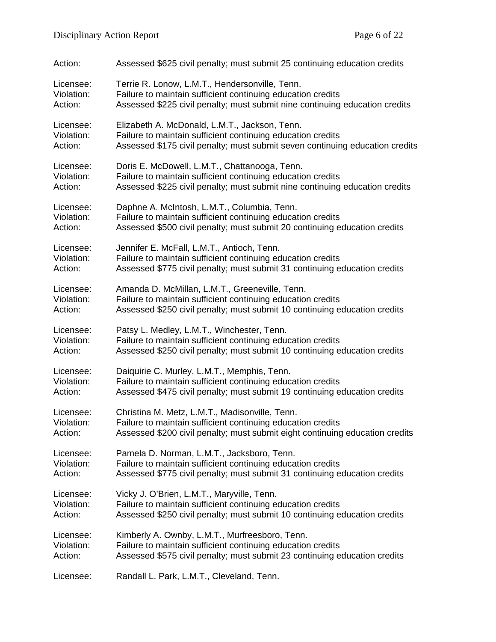| Action:    | Assessed \$625 civil penalty; must submit 25 continuing education credits    |
|------------|------------------------------------------------------------------------------|
| Licensee:  | Terrie R. Lonow, L.M.T., Hendersonville, Tenn.                               |
| Violation: | Failure to maintain sufficient continuing education credits                  |
| Action:    | Assessed \$225 civil penalty; must submit nine continuing education credits  |
| Licensee:  | Elizabeth A. McDonald, L.M.T., Jackson, Tenn.                                |
| Violation: | Failure to maintain sufficient continuing education credits                  |
| Action:    | Assessed \$175 civil penalty; must submit seven continuing education credits |
| Licensee:  | Doris E. McDowell, L.M.T., Chattanooga, Tenn.                                |
| Violation: | Failure to maintain sufficient continuing education credits                  |
| Action:    | Assessed \$225 civil penalty; must submit nine continuing education credits  |
| Licensee:  | Daphne A. McIntosh, L.M.T., Columbia, Tenn.                                  |
| Violation: | Failure to maintain sufficient continuing education credits                  |
| Action:    | Assessed \$500 civil penalty; must submit 20 continuing education credits    |
| Licensee:  | Jennifer E. McFall, L.M.T., Antioch, Tenn.                                   |
| Violation: | Failure to maintain sufficient continuing education credits                  |
| Action:    | Assessed \$775 civil penalty; must submit 31 continuing education credits    |
| Licensee:  | Amanda D. McMillan, L.M.T., Greeneville, Tenn.                               |
| Violation: | Failure to maintain sufficient continuing education credits                  |
| Action:    | Assessed \$250 civil penalty; must submit 10 continuing education credits    |
| Licensee:  | Patsy L. Medley, L.M.T., Winchester, Tenn.                                   |
| Violation: | Failure to maintain sufficient continuing education credits                  |
| Action:    | Assessed \$250 civil penalty; must submit 10 continuing education credits    |
| Licensee:  | Daiquirie C. Murley, L.M.T., Memphis, Tenn.                                  |
| Violation: | Failure to maintain sufficient continuing education credits                  |
| Action:    | Assessed \$475 civil penalty; must submit 19 continuing education credits    |
| Licensee:  | Christina M. Metz, L.M.T., Madisonville, Tenn.                               |
| Violation: | Failure to maintain sufficient continuing education credits                  |
| Action:    | Assessed \$200 civil penalty; must submit eight continuing education credits |
| Licensee:  | Pamela D. Norman, L.M.T., Jacksboro, Tenn.                                   |
| Violation: | Failure to maintain sufficient continuing education credits                  |
| Action:    | Assessed \$775 civil penalty; must submit 31 continuing education credits    |
| Licensee:  | Vicky J. O'Brien, L.M.T., Maryville, Tenn.                                   |
| Violation: | Failure to maintain sufficient continuing education credits                  |
| Action:    | Assessed \$250 civil penalty; must submit 10 continuing education credits    |
| Licensee:  | Kimberly A. Ownby, L.M.T., Murfreesboro, Tenn.                               |
| Violation: | Failure to maintain sufficient continuing education credits                  |
| Action:    | Assessed \$575 civil penalty; must submit 23 continuing education credits    |
| Licensee:  | Randall L. Park, L.M.T., Cleveland, Tenn.                                    |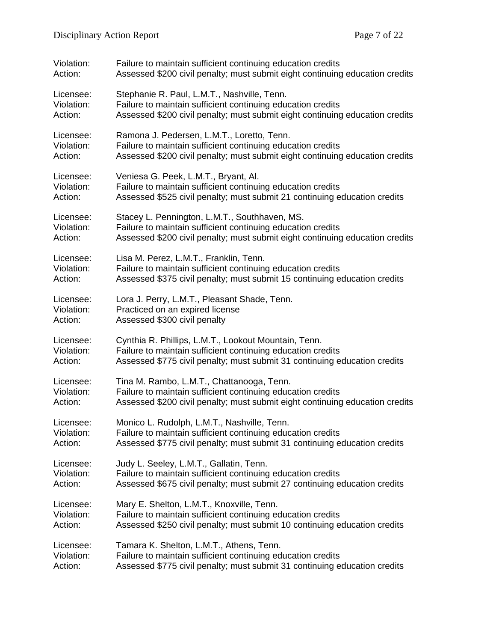| Violation: | Failure to maintain sufficient continuing education credits                  |
|------------|------------------------------------------------------------------------------|
| Action:    | Assessed \$200 civil penalty; must submit eight continuing education credits |
| Licensee:  | Stephanie R. Paul, L.M.T., Nashville, Tenn.                                  |
| Violation: | Failure to maintain sufficient continuing education credits                  |
| Action:    | Assessed \$200 civil penalty; must submit eight continuing education credits |
| Licensee:  | Ramona J. Pedersen, L.M.T., Loretto, Tenn.                                   |
| Violation: | Failure to maintain sufficient continuing education credits                  |
| Action:    | Assessed \$200 civil penalty; must submit eight continuing education credits |
| Licensee:  | Veniesa G. Peek, L.M.T., Bryant, Al.                                         |
| Violation: | Failure to maintain sufficient continuing education credits                  |
| Action:    | Assessed \$525 civil penalty; must submit 21 continuing education credits    |
| Licensee:  | Stacey L. Pennington, L.M.T., Southhaven, MS.                                |
| Violation: | Failure to maintain sufficient continuing education credits                  |
| Action:    | Assessed \$200 civil penalty; must submit eight continuing education credits |
| Licensee:  | Lisa M. Perez, L.M.T., Franklin, Tenn.                                       |
| Violation: | Failure to maintain sufficient continuing education credits                  |
| Action:    | Assessed \$375 civil penalty; must submit 15 continuing education credits    |
| Licensee:  | Lora J. Perry, L.M.T., Pleasant Shade, Tenn.                                 |
| Violation: | Practiced on an expired license                                              |
| Action:    | Assessed \$300 civil penalty                                                 |
| Licensee:  | Cynthia R. Phillips, L.M.T., Lookout Mountain, Tenn.                         |
| Violation: | Failure to maintain sufficient continuing education credits                  |
| Action:    | Assessed \$775 civil penalty; must submit 31 continuing education credits    |
| Licensee:  | Tina M. Rambo, L.M.T., Chattanooga, Tenn.                                    |
| Violation: | Failure to maintain sufficient continuing education credits                  |
| Action:    | Assessed \$200 civil penalty; must submit eight continuing education credits |
| Licensee:  | Monico L. Rudolph, L.M.T., Nashville, Tenn.                                  |
| Violation: | Failure to maintain sufficient continuing education credits                  |
| Action:    | Assessed \$775 civil penalty; must submit 31 continuing education credits    |
| Licensee:  | Judy L. Seeley, L.M.T., Gallatin, Tenn.                                      |
| Violation: | Failure to maintain sufficient continuing education credits                  |
| Action:    | Assessed \$675 civil penalty; must submit 27 continuing education credits    |
| Licensee:  | Mary E. Shelton, L.M.T., Knoxville, Tenn.                                    |
| Violation: | Failure to maintain sufficient continuing education credits                  |
| Action:    | Assessed \$250 civil penalty; must submit 10 continuing education credits    |
| Licensee:  | Tamara K. Shelton, L.M.T., Athens, Tenn.                                     |
| Violation: | Failure to maintain sufficient continuing education credits                  |
| Action:    | Assessed \$775 civil penalty; must submit 31 continuing education credits    |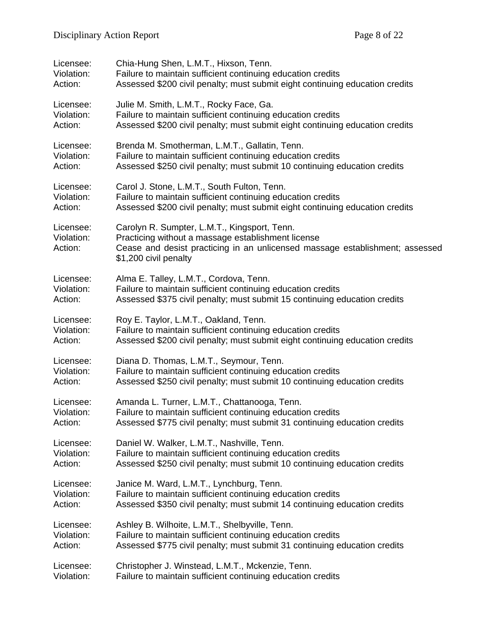| Licensee:                          | Chia-Hung Shen, L.M.T., Hixson, Tenn.                                                                                                                                                                       |
|------------------------------------|-------------------------------------------------------------------------------------------------------------------------------------------------------------------------------------------------------------|
| Violation:                         | Failure to maintain sufficient continuing education credits                                                                                                                                                 |
| Action:                            | Assessed \$200 civil penalty; must submit eight continuing education credits                                                                                                                                |
| Licensee:                          | Julie M. Smith, L.M.T., Rocky Face, Ga.                                                                                                                                                                     |
| Violation:                         | Failure to maintain sufficient continuing education credits                                                                                                                                                 |
| Action:                            | Assessed \$200 civil penalty; must submit eight continuing education credits                                                                                                                                |
| Licensee:                          | Brenda M. Smotherman, L.M.T., Gallatin, Tenn.                                                                                                                                                               |
| Violation:                         | Failure to maintain sufficient continuing education credits                                                                                                                                                 |
| Action:                            | Assessed \$250 civil penalty; must submit 10 continuing education credits                                                                                                                                   |
| Licensee:                          | Carol J. Stone, L.M.T., South Fulton, Tenn.                                                                                                                                                                 |
| Violation:                         | Failure to maintain sufficient continuing education credits                                                                                                                                                 |
| Action:                            | Assessed \$200 civil penalty; must submit eight continuing education credits                                                                                                                                |
| Licensee:<br>Violation:<br>Action: | Carolyn R. Sumpter, L.M.T., Kingsport, Tenn.<br>Practicing without a massage establishment license<br>Cease and desist practicing in an unlicensed massage establishment; assessed<br>\$1,200 civil penalty |
| Licensee:                          | Alma E. Talley, L.M.T., Cordova, Tenn.                                                                                                                                                                      |
| Violation:                         | Failure to maintain sufficient continuing education credits                                                                                                                                                 |
| Action:                            | Assessed \$375 civil penalty; must submit 15 continuing education credits                                                                                                                                   |
| Licensee:                          | Roy E. Taylor, L.M.T., Oakland, Tenn.                                                                                                                                                                       |
| Violation:                         | Failure to maintain sufficient continuing education credits                                                                                                                                                 |
| Action:                            | Assessed \$200 civil penalty; must submit eight continuing education credits                                                                                                                                |
| Licensee:                          | Diana D. Thomas, L.M.T., Seymour, Tenn.                                                                                                                                                                     |
| Violation:                         | Failure to maintain sufficient continuing education credits                                                                                                                                                 |
| Action:                            | Assessed \$250 civil penalty; must submit 10 continuing education credits                                                                                                                                   |
| Licensee:                          | Amanda L. Turner, L.M.T., Chattanooga, Tenn.                                                                                                                                                                |
| Violation:                         | Failure to maintain sufficient continuing education credits                                                                                                                                                 |
| Action:                            | Assessed \$775 civil penalty; must submit 31 continuing education credits                                                                                                                                   |
| Licensee:                          | Daniel W. Walker, L.M.T., Nashville, Tenn.                                                                                                                                                                  |
| Violation:                         | Failure to maintain sufficient continuing education credits                                                                                                                                                 |
| Action:                            | Assessed \$250 civil penalty; must submit 10 continuing education credits                                                                                                                                   |
| Licensee:                          | Janice M. Ward, L.M.T., Lynchburg, Tenn.                                                                                                                                                                    |
| Violation:                         | Failure to maintain sufficient continuing education credits                                                                                                                                                 |
| Action:                            | Assessed \$350 civil penalty; must submit 14 continuing education credits                                                                                                                                   |
| Licensee:                          | Ashley B. Wilhoite, L.M.T., Shelbyville, Tenn.                                                                                                                                                              |
| Violation:                         | Failure to maintain sufficient continuing education credits                                                                                                                                                 |
| Action:                            | Assessed \$775 civil penalty; must submit 31 continuing education credits                                                                                                                                   |
| Licensee:                          | Christopher J. Winstead, L.M.T., Mckenzie, Tenn.                                                                                                                                                            |
| Violation:                         | Failure to maintain sufficient continuing education credits                                                                                                                                                 |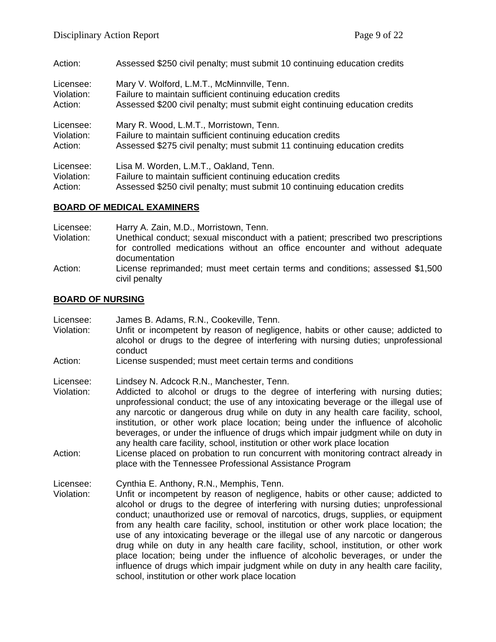| Action:    | Assessed \$250 civil penalty; must submit 10 continuing education credits    |
|------------|------------------------------------------------------------------------------|
| Licensee:  | Mary V. Wolford, L.M.T., McMinnville, Tenn.                                  |
| Violation: | Failure to maintain sufficient continuing education credits                  |
| Action:    | Assessed \$200 civil penalty; must submit eight continuing education credits |
| Licensee:  | Mary R. Wood, L.M.T., Morristown, Tenn.                                      |
| Violation: | Failure to maintain sufficient continuing education credits                  |
| Action:    | Assessed \$275 civil penalty; must submit 11 continuing education credits    |
| Licensee:  | Lisa M. Worden, L.M.T., Oakland, Tenn.                                       |
| Violation: | Failure to maintain sufficient continuing education credits                  |
| Action:    | Assessed \$250 civil penalty; must submit 10 continuing education credits    |

## **BOARD OF MEDICAL EXAMINERS**

| Licensee:  | Harry A. Zain, M.D., Morristown, Tenn.                                                         |
|------------|------------------------------------------------------------------------------------------------|
| Violation: | Unethical conduct; sexual misconduct with a patient; prescribed two prescriptions              |
|            | for controlled medications without an office encounter and without adequate<br>documentation   |
| Action:    | License reprimanded; must meet certain terms and conditions; assessed \$1,500<br>civil penalty |

#### **BOARD OF NURSING**

| Licensee:  | James B. Adams, R.N., Cookeville, Tenn.                 |
|------------|---------------------------------------------------------|
| Violation: | Unfit or incompetent by reason of negligence, habits or |

- other cause; addicted to alcohol or drugs to the degree of interfering with nursing duties; unprofessional conduct
- Action: License suspended; must meet certain terms and conditions

Licensee: Lindsey N. Adcock R.N., Manchester, Tenn.

- Violation: Addicted to alcohol or drugs to the degree of interfering with nursing duties; unprofessional conduct; the use of any intoxicating beverage or the illegal use of any narcotic or dangerous drug while on duty in any health care facility, school, institution, or other work place location; being under the influence of alcoholic beverages, or under the influence of drugs which impair judgment while on duty in any health care facility, school, institution or other work place location
- Action: License placed on probation to run concurrent with monitoring contract already in place with the Tennessee Professional Assistance Program

Licensee: Cynthia E. Anthony, R.N., Memphis, Tenn.

Violation: Unfit or incompetent by reason of negligence, habits or other cause; addicted to alcohol or drugs to the degree of interfering with nursing duties; unprofessional conduct; unauthorized use or removal of narcotics, drugs, supplies, or equipment from any health care facility, school, institution or other work place location; the use of any intoxicating beverage or the illegal use of any narcotic or dangerous drug while on duty in any health care facility, school, institution, or other work place location; being under the influence of alcoholic beverages, or under the influence of drugs which impair judgment while on duty in any health care facility, school, institution or other work place location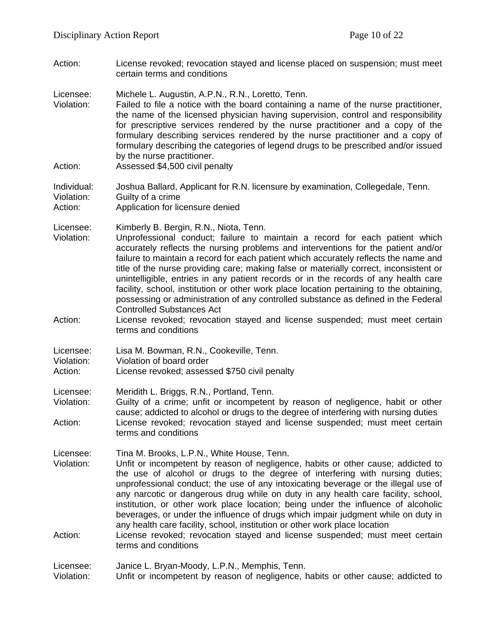Action: License revoked; revocation stayed and license placed on suspension; must meet certain terms and conditions

Licensee: Michele L. Augustin, A.P.N., R.N., Loretto, Tenn.

- Violation: Failed to file a notice with the board containing a name of the nurse practitioner, the name of the licensed physician having supervision, control and responsibility for prescriptive services rendered by the nurse practitioner and a copy of the formulary describing services rendered by the nurse practitioner and a copy of formulary describing the categories of legend drugs to be prescribed and/or issued by the nurse practitioner.
- Action: Assessed \$4,500 civil penalty

#### Individual: Joshua Ballard, Applicant for R.N. licensure by examination, Collegedale, Tenn. Violation: Guilty of a crime Action: Application for licensure denied

- Licensee: Kimberly B. Bergin, R.N., Niota, Tenn.<br>Violation: Unprofessional conduct: failure to n Unprofessional conduct; failure to maintain a record for each patient which accurately reflects the nursing problems and interventions for the patient and/or failure to maintain a record for each patient which accurately reflects the name and title of the nurse providing care; making false or materially correct, inconsistent or unintelligible, entries in any patient records or in the records of any health care facility, school, institution or other work place location pertaining to the obtaining, possessing or administration of any controlled substance as defined in the Federal Controlled Substances Act
- Action: License revoked; revocation stayed and license suspended; must meet certain terms and conditions

| Licensee:<br>Lisa M. Bowman, R.N., Cookeville, Tenn. |  |
|------------------------------------------------------|--|
|------------------------------------------------------|--|

Violation: Violation of board order

Action: License revoked; assessed \$750 civil penalty

Licensee: Meridith L. Briggs, R.N., Portland, Tenn.

Violation: Guilty of a crime; unfit or incompetent by reason of negligence, habit or other cause; addicted to alcohol or drugs to the degree of interfering with nursing duties Action: License revoked; revocation stayed and license suspended; must meet certain terms and conditions

Licensee: Tina M. Brooks, L.P.N., White House, Tenn.<br>Violation: Unfit or incompetent by reason of negligene

- Unfit or incompetent by reason of negligence, habits or other cause; addicted to the use of alcohol or drugs to the degree of interfering with nursing duties; unprofessional conduct; the use of any intoxicating beverage or the illegal use of any narcotic or dangerous drug while on duty in any health care facility, school, institution, or other work place location; being under the influence of alcoholic beverages, or under the influence of drugs which impair judgment while on duty in any health care facility, school, institution or other work place location
- Action: License revoked; revocation stayed and license suspended; must meet certain terms and conditions

Licensee: Janice L. Bryan-Moody, L.P.N., Memphis, Tenn.

Violation: Unfit or incompetent by reason of negligence, habits or other cause; addicted to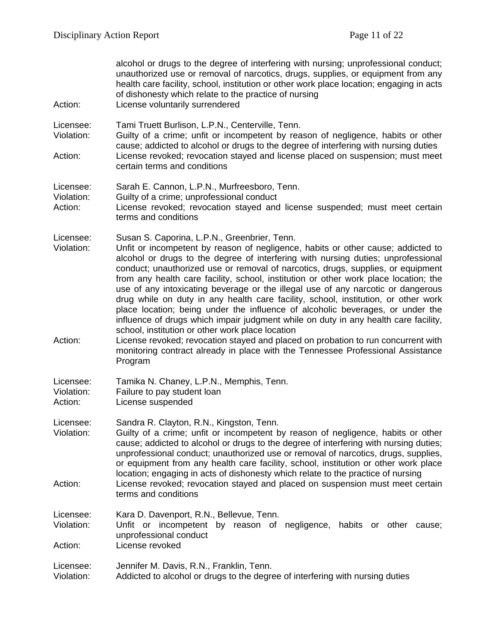| Action:                            | alcohol or drugs to the degree of interfering with nursing; unprofessional conduct;<br>unauthorized use or removal of narcotics, drugs, supplies, or equipment from any<br>health care facility, school, institution or other work place location; engaging in acts<br>of dishonesty which relate to the practice of nursing<br>License voluntarily surrendered                                                                                                                                                                                                                                                                                                                                                                                                                                          |
|------------------------------------|----------------------------------------------------------------------------------------------------------------------------------------------------------------------------------------------------------------------------------------------------------------------------------------------------------------------------------------------------------------------------------------------------------------------------------------------------------------------------------------------------------------------------------------------------------------------------------------------------------------------------------------------------------------------------------------------------------------------------------------------------------------------------------------------------------|
| Licensee:<br>Violation:            | Tami Truett Burlison, L.P.N., Centerville, Tenn.<br>Guilty of a crime; unfit or incompetent by reason of negligence, habits or other<br>cause; addicted to alcohol or drugs to the degree of interfering with nursing duties                                                                                                                                                                                                                                                                                                                                                                                                                                                                                                                                                                             |
| Action:                            | License revoked; revocation stayed and license placed on suspension; must meet<br>certain terms and conditions                                                                                                                                                                                                                                                                                                                                                                                                                                                                                                                                                                                                                                                                                           |
| Licensee:<br>Violation:<br>Action: | Sarah E. Cannon, L.P.N., Murfreesboro, Tenn.<br>Guilty of a crime; unprofessional conduct<br>License revoked; revocation stayed and license suspended; must meet certain<br>terms and conditions                                                                                                                                                                                                                                                                                                                                                                                                                                                                                                                                                                                                         |
| Licensee:<br>Violation:            | Susan S. Caporina, L.P.N., Greenbrier, Tenn.<br>Unfit or incompetent by reason of negligence, habits or other cause; addicted to<br>alcohol or drugs to the degree of interfering with nursing duties; unprofessional<br>conduct; unauthorized use or removal of narcotics, drugs, supplies, or equipment<br>from any health care facility, school, institution or other work place location; the<br>use of any intoxicating beverage or the illegal use of any narcotic or dangerous<br>drug while on duty in any health care facility, school, institution, or other work<br>place location; being under the influence of alcoholic beverages, or under the<br>influence of drugs which impair judgment while on duty in any health care facility,<br>school, institution or other work place location |
| Action:                            | License revoked; revocation stayed and placed on probation to run concurrent with<br>monitoring contract already in place with the Tennessee Professional Assistance<br>Program                                                                                                                                                                                                                                                                                                                                                                                                                                                                                                                                                                                                                          |
| Licensee:<br>Violation:<br>Action: | Tamika N. Chaney, L.P.N., Memphis, Tenn.<br>Failure to pay student loan<br>License suspended                                                                                                                                                                                                                                                                                                                                                                                                                                                                                                                                                                                                                                                                                                             |
| Licensee:<br>Violation:            | Sandra R. Clayton, R.N., Kingston, Tenn.<br>Guilty of a crime; unfit or incompetent by reason of negligence, habits or other<br>cause; addicted to alcohol or drugs to the degree of interfering with nursing duties;<br>unprofessional conduct; unauthorized use or removal of narcotics, drugs, supplies,<br>or equipment from any health care facility, school, institution or other work place<br>location; engaging in acts of dishonesty which relate to the practice of nursing                                                                                                                                                                                                                                                                                                                   |
| Action:                            | License revoked; revocation stayed and placed on suspension must meet certain<br>terms and conditions                                                                                                                                                                                                                                                                                                                                                                                                                                                                                                                                                                                                                                                                                                    |
| Licensee:<br>Violation:            | Kara D. Davenport, R.N., Bellevue, Tenn.<br>Unfit or incompetent by reason of negligence, habits or other cause;                                                                                                                                                                                                                                                                                                                                                                                                                                                                                                                                                                                                                                                                                         |
| Action:                            | unprofessional conduct<br>License revoked                                                                                                                                                                                                                                                                                                                                                                                                                                                                                                                                                                                                                                                                                                                                                                |
| Licensee:<br>Violation:            | Jennifer M. Davis, R.N., Franklin, Tenn.<br>Addicted to alcohol or drugs to the degree of interfering with nursing duties                                                                                                                                                                                                                                                                                                                                                                                                                                                                                                                                                                                                                                                                                |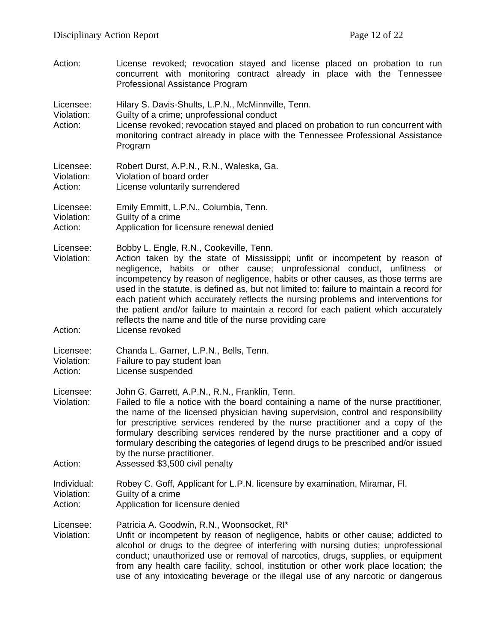Action: License revoked; revocation stayed and license placed on probation to run concurrent with monitoring contract already in place with the Tennessee Professional Assistance Program

Licensee: Hilary S. Davis-Shults, L.P.N., McMinnville, Tenn.

- Violation: Guilty of a crime; unprofessional conduct
- Action: License revoked; revocation stayed and placed on probation to run concurrent with monitoring contract already in place with the Tennessee Professional Assistance Program
- Licensee: Robert Durst, A.P.N., R.N., Waleska, Ga. Violation: Violation of board order Action: License voluntarily surrendered
- Licensee: Emily Emmitt, L.P.N., Columbia, Tenn. Violation: Guilty of a crime<br>Action: Application for lig Application for licensure renewal denied

Licensee: Bobby L. Engle, R.N., Cookeville, Tenn.

Violation: Action taken by the state of Mississippi; unfit or incompetent by reason of negligence, habits or other cause; unprofessional conduct, unfitness or incompetency by reason of negligence, habits or other causes, as those terms are used in the statute, is defined as, but not limited to: failure to maintain a record for each patient which accurately reflects the nursing problems and interventions for the patient and/or failure to maintain a record for each patient which accurately reflects the name and title of the nurse providing care

Action: License revoked

Licensee: Chanda L. Garner, L.P.N., Bells, Tenn.

Violation: Failure to pay student loan

Action: License suspended

Licensee: John G. Garrett, A.P.N., R.N., Franklin, Tenn.

- Violation: Failed to file a notice with the board containing a name of the nurse practitioner, the name of the licensed physician having supervision, control and responsibility for prescriptive services rendered by the nurse practitioner and a copy of the formulary describing services rendered by the nurse practitioner and a copy of formulary describing the categories of legend drugs to be prescribed and/or issued by the nurse practitioner.
- Action: Assessed \$3,500 civil penalty
- Individual: Robey C. Goff, Applicant for L.P.N. licensure by examination, Miramar, Fl. Violation: Guilty of a crime Action: Application for licensure denied

Licensee: Patricia A. Goodwin, R.N., Woonsocket, RI\*<br>Violation: Unfit or incompetent by reason of negligen

Unfit or incompetent by reason of negligence, habits or other cause; addicted to alcohol or drugs to the degree of interfering with nursing duties; unprofessional conduct; unauthorized use or removal of narcotics, drugs, supplies, or equipment from any health care facility, school, institution or other work place location; the use of any intoxicating beverage or the illegal use of any narcotic or dangerous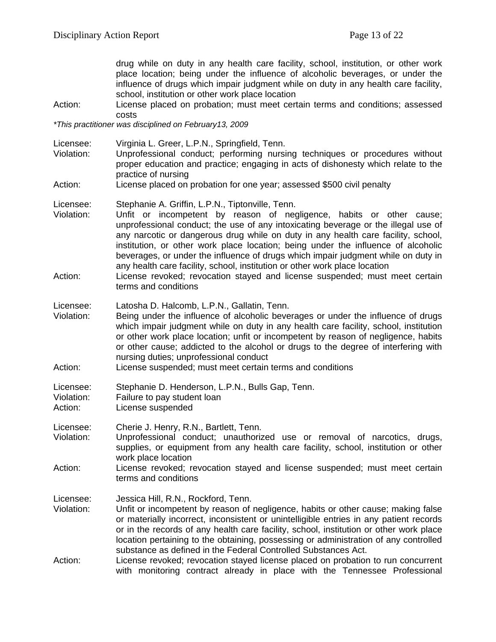drug while on duty in any health care facility, school, institution, or other work place location; being under the influence of alcoholic beverages, or under the influence of drugs which impair judgment while on duty in any health care facility, school, institution or other work place location

Action: License placed on probation; must meet certain terms and conditions; assessed costs

*\*This practitioner was disciplined on February13, 2009*

- Licensee: Virginia L. Greer, L.P.N., Springfield, Tenn.
- Unprofessional conduct; performing nursing techniques or procedures without proper education and practice; engaging in acts of dishonesty which relate to the practice of nursing
- Action: License placed on probation for one year; assessed \$500 civil penalty

Licensee: Stephanie A. Griffin, L.P.N., Tiptonville, Tenn.

- Violation: Unfit or incompetent by reason of negligence, habits or other cause; unprofessional conduct; the use of any intoxicating beverage or the illegal use of any narcotic or dangerous drug while on duty in any health care facility, school, institution, or other work place location; being under the influence of alcoholic beverages, or under the influence of drugs which impair judgment while on duty in any health care facility, school, institution or other work place location
- Action: License revoked; revocation stayed and license suspended; must meet certain terms and conditions
- Licensee: Latosha D. Halcomb, L.P.N., Gallatin, Tenn.
- Violation: Being under the influence of alcoholic beverages or under the influence of drugs which impair judgment while on duty in any health care facility, school, institution or other work place location; unfit or incompetent by reason of negligence, habits or other cause; addicted to the alcohol or drugs to the degree of interfering with nursing duties; unprofessional conduct
- Action: License suspended; must meet certain terms and conditions

Licensee: Stephanie D. Henderson, L.P.N., Bulls Gap, Tenn.<br>Violation: Failure to pay student loan

- Violation: Failure to pay student loan<br>Action: Ficense suspended
- License suspended

Licensee: Cherie J. Henry, R.N., Bartlett, Tenn.<br>Violation: Unprofessional conduct: unauthoriz

- Unprofessional conduct; unauthorized use or removal of narcotics, drugs, supplies, or equipment from any health care facility, school, institution or other work place location
- Action: License revoked; revocation stayed and license suspended; must meet certain terms and conditions

Licensee: Jessica Hill, R.N., Rockford, Tenn.<br>Violation: Unfit or incompetent by reason of

- Unfit or incompetent by reason of negligence, habits or other cause; making false or materially incorrect, inconsistent or unintelligible entries in any patient records or in the records of any health care facility, school, institution or other work place location pertaining to the obtaining, possessing or administration of any controlled substance as defined in the Federal Controlled Substances Act.
- Action: License revoked; revocation stayed license placed on probation to run concurrent with monitoring contract already in place with the Tennessee Professional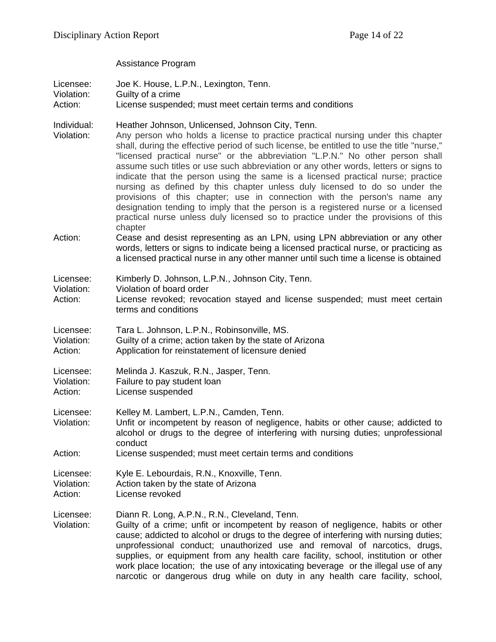Assistance Program

| Licensee:<br>Violation:<br>Action: | Joe K. House, L.P.N., Lexington, Tenn.<br>Guilty of a crime<br>License suspended; must meet certain terms and conditions                                                                                                                                                                                                                                                                                                                                                                                                                                                                                                                                                                                                                                                                                                                 |
|------------------------------------|------------------------------------------------------------------------------------------------------------------------------------------------------------------------------------------------------------------------------------------------------------------------------------------------------------------------------------------------------------------------------------------------------------------------------------------------------------------------------------------------------------------------------------------------------------------------------------------------------------------------------------------------------------------------------------------------------------------------------------------------------------------------------------------------------------------------------------------|
| Individual:<br>Violation:          | Heather Johnson, Unlicensed, Johnson City, Tenn.<br>Any person who holds a license to practice practical nursing under this chapter<br>shall, during the effective period of such license, be entitled to use the title "nurse,"<br>"licensed practical nurse" or the abbreviation "L.P.N." No other person shall<br>assume such titles or use such abbreviation or any other words, letters or signs to<br>indicate that the person using the same is a licensed practical nurse; practice<br>nursing as defined by this chapter unless duly licensed to do so under the<br>provisions of this chapter; use in connection with the person's name any<br>designation tending to imply that the person is a registered nurse or a licensed<br>practical nurse unless duly licensed so to practice under the provisions of this<br>chapter |
| Action:                            | Cease and desist representing as an LPN, using LPN abbreviation or any other<br>words, letters or signs to indicate being a licensed practical nurse, or practicing as<br>a licensed practical nurse in any other manner until such time a license is obtained                                                                                                                                                                                                                                                                                                                                                                                                                                                                                                                                                                           |
| Licensee:<br>Violation:<br>Action: | Kimberly D. Johnson, L.P.N., Johnson City, Tenn.<br>Violation of board order<br>License revoked; revocation stayed and license suspended; must meet certain<br>terms and conditions                                                                                                                                                                                                                                                                                                                                                                                                                                                                                                                                                                                                                                                      |
| Licensee:<br>Violation:<br>Action: | Tara L. Johnson, L.P.N., Robinsonville, MS.<br>Guilty of a crime; action taken by the state of Arizona<br>Application for reinstatement of licensure denied                                                                                                                                                                                                                                                                                                                                                                                                                                                                                                                                                                                                                                                                              |
| Licensee:<br>Violation:<br>Action: | Melinda J. Kaszuk, R.N., Jasper, Tenn.<br>Failure to pay student loan<br>License suspended                                                                                                                                                                                                                                                                                                                                                                                                                                                                                                                                                                                                                                                                                                                                               |
| Licensee:<br>Violation:            | Kelley M. Lambert, L.P.N., Camden, Tenn.<br>Unfit or incompetent by reason of negligence, habits or other cause; addicted to<br>alcohol or drugs to the degree of interfering with nursing duties; unprofessional<br>conduct                                                                                                                                                                                                                                                                                                                                                                                                                                                                                                                                                                                                             |
| Action:                            | License suspended; must meet certain terms and conditions                                                                                                                                                                                                                                                                                                                                                                                                                                                                                                                                                                                                                                                                                                                                                                                |
| Licensee:<br>Violation:<br>Action: | Kyle E. Lebourdais, R.N., Knoxville, Tenn.<br>Action taken by the state of Arizona<br>License revoked                                                                                                                                                                                                                                                                                                                                                                                                                                                                                                                                                                                                                                                                                                                                    |
| Licensee:<br>Violation:            | Diann R. Long, A.P.N., R.N., Cleveland, Tenn.<br>Guilty of a crime; unfit or incompetent by reason of negligence, habits or other<br>cause; addicted to alcohol or drugs to the degree of interfering with nursing duties;<br>unprofessional conduct; unauthorized use and removal of narcotics, drugs,<br>supplies, or equipment from any health care facility, school, institution or other<br>work place location; the use of any intoxicating beverage or the illegal use of any<br>narcotic or dangerous drug while on duty in any health care facility, school,                                                                                                                                                                                                                                                                    |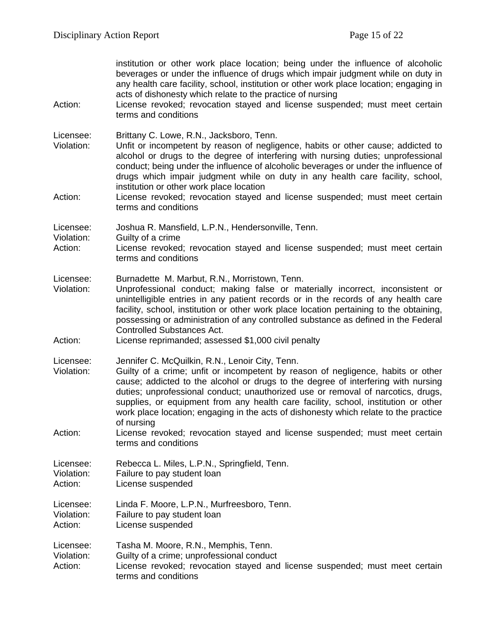| Action:                            | institution or other work place location; being under the influence of alcoholic<br>beverages or under the influence of drugs which impair judgment while on duty in<br>any health care facility, school, institution or other work place location; engaging in<br>acts of dishonesty which relate to the practice of nursing<br>License revoked; revocation stayed and license suspended; must meet certain<br>terms and conditions                                                                     |
|------------------------------------|----------------------------------------------------------------------------------------------------------------------------------------------------------------------------------------------------------------------------------------------------------------------------------------------------------------------------------------------------------------------------------------------------------------------------------------------------------------------------------------------------------|
| Licensee:<br>Violation:            | Brittany C. Lowe, R.N., Jacksboro, Tenn.<br>Unfit or incompetent by reason of negligence, habits or other cause; addicted to<br>alcohol or drugs to the degree of interfering with nursing duties; unprofessional<br>conduct; being under the influence of alcoholic beverages or under the influence of<br>drugs which impair judgment while on duty in any health care facility, school,<br>institution or other work place location                                                                   |
| Action:                            | License revoked; revocation stayed and license suspended; must meet certain<br>terms and conditions                                                                                                                                                                                                                                                                                                                                                                                                      |
| Licensee:<br>Violation:<br>Action: | Joshua R. Mansfield, L.P.N., Hendersonville, Tenn.<br>Guilty of a crime<br>License revoked; revocation stayed and license suspended; must meet certain<br>terms and conditions                                                                                                                                                                                                                                                                                                                           |
| Licensee:<br>Violation:            | Burnadette M. Marbut, R.N., Morristown, Tenn.<br>Unprofessional conduct; making false or materially incorrect, inconsistent or<br>unintelligible entries in any patient records or in the records of any health care<br>facility, school, institution or other work place location pertaining to the obtaining,<br>possessing or administration of any controlled substance as defined in the Federal<br><b>Controlled Substances Act.</b>                                                               |
| Action:                            | License reprimanded; assessed \$1,000 civil penalty                                                                                                                                                                                                                                                                                                                                                                                                                                                      |
| Licensee:<br>Violation:            | Jennifer C. McQuilkin, R.N., Lenoir City, Tenn.<br>Guilty of a crime; unfit or incompetent by reason of negligence, habits or other<br>cause; addicted to the alcohol or drugs to the degree of interfering with nursing<br>duties; unprofessional conduct; unauthorized use or removal of narcotics, drugs,<br>supplies, or equipment from any health care facility, school, institution or other<br>work place location; engaging in the acts of dishonesty which relate to the practice<br>of nursing |
| Action:                            | License revoked; revocation stayed and license suspended; must meet certain<br>terms and conditions                                                                                                                                                                                                                                                                                                                                                                                                      |
| Licensee:<br>Violation:<br>Action: | Rebecca L. Miles, L.P.N., Springfield, Tenn.<br>Failure to pay student loan<br>License suspended                                                                                                                                                                                                                                                                                                                                                                                                         |
| Licensee:<br>Violation:<br>Action: | Linda F. Moore, L.P.N., Murfreesboro, Tenn.<br>Failure to pay student loan<br>License suspended                                                                                                                                                                                                                                                                                                                                                                                                          |
| Licensee:<br>Violation:<br>Action: | Tasha M. Moore, R.N., Memphis, Tenn.<br>Guilty of a crime; unprofessional conduct<br>License revoked; revocation stayed and license suspended; must meet certain<br>terms and conditions                                                                                                                                                                                                                                                                                                                 |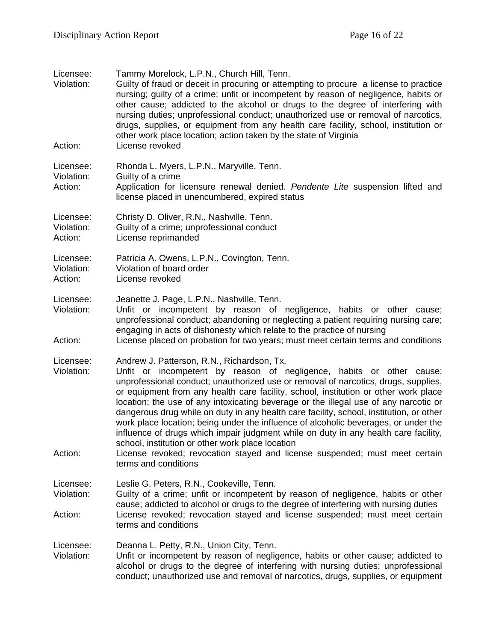| Licensee:<br>Violation:            | Tammy Morelock, L.P.N., Church Hill, Tenn.<br>Guilty of fraud or deceit in procuring or attempting to procure a license to practice<br>nursing; guilty of a crime; unfit or incompetent by reason of negligence, habits or<br>other cause; addicted to the alcohol or drugs to the degree of interfering with<br>nursing duties; unprofessional conduct; unauthorized use or removal of narcotics,<br>drugs, supplies, or equipment from any health care facility, school, institution or<br>other work place location; action taken by the state of Virginia                                                                                                                                                                                                                                                               |
|------------------------------------|-----------------------------------------------------------------------------------------------------------------------------------------------------------------------------------------------------------------------------------------------------------------------------------------------------------------------------------------------------------------------------------------------------------------------------------------------------------------------------------------------------------------------------------------------------------------------------------------------------------------------------------------------------------------------------------------------------------------------------------------------------------------------------------------------------------------------------|
| Action:                            | License revoked                                                                                                                                                                                                                                                                                                                                                                                                                                                                                                                                                                                                                                                                                                                                                                                                             |
| Licensee:<br>Violation:<br>Action: | Rhonda L. Myers, L.P.N., Maryville, Tenn.<br>Guilty of a crime<br>Application for licensure renewal denied. Pendente Lite suspension lifted and<br>license placed in unencumbered, expired status                                                                                                                                                                                                                                                                                                                                                                                                                                                                                                                                                                                                                           |
| Licensee:<br>Violation:<br>Action: | Christy D. Oliver, R.N., Nashville, Tenn.<br>Guilty of a crime; unprofessional conduct<br>License reprimanded                                                                                                                                                                                                                                                                                                                                                                                                                                                                                                                                                                                                                                                                                                               |
| Licensee:<br>Violation:<br>Action: | Patricia A. Owens, L.P.N., Covington, Tenn.<br>Violation of board order<br>License revoked                                                                                                                                                                                                                                                                                                                                                                                                                                                                                                                                                                                                                                                                                                                                  |
| Licensee:<br>Violation:<br>Action: | Jeanette J. Page, L.P.N., Nashville, Tenn.<br>Unfit or incompetent by reason of negligence, habits or other cause;<br>unprofessional conduct; abandoning or neglecting a patient requiring nursing care;<br>engaging in acts of dishonesty which relate to the practice of nursing<br>License placed on probation for two years; must meet certain terms and conditions                                                                                                                                                                                                                                                                                                                                                                                                                                                     |
| Licensee:<br>Violation:<br>Action: | Andrew J. Patterson, R.N., Richardson, Tx.<br>Unfit or incompetent by reason of negligence, habits or other cause;<br>unprofessional conduct; unauthorized use or removal of narcotics, drugs, supplies,<br>or equipment from any health care facility, school, institution or other work place<br>location; the use of any intoxicating beverage or the illegal use of any narcotic or<br>dangerous drug while on duty in any health care facility, school, institution, or other<br>work place location; being under the influence of alcoholic beverages, or under the<br>influence of drugs which impair judgment while on duty in any health care facility,<br>school, institution or other work place location<br>License revoked; revocation stayed and license suspended; must meet certain<br>terms and conditions |
| Licensee:<br>Violation:<br>Action: | Leslie G. Peters, R.N., Cookeville, Tenn.<br>Guilty of a crime; unfit or incompetent by reason of negligence, habits or other<br>cause; addicted to alcohol or drugs to the degree of interfering with nursing duties<br>License revoked; revocation stayed and license suspended; must meet certain<br>terms and conditions                                                                                                                                                                                                                                                                                                                                                                                                                                                                                                |
| Licensee:<br>Violation:            | Deanna L. Petty, R.N., Union City, Tenn.<br>Unfit or incompetent by reason of negligence, habits or other cause; addicted to<br>alcohol or drugs to the degree of interfering with nursing duties; unprofessional<br>conduct; unauthorized use and removal of narcotics, drugs, supplies, or equipment                                                                                                                                                                                                                                                                                                                                                                                                                                                                                                                      |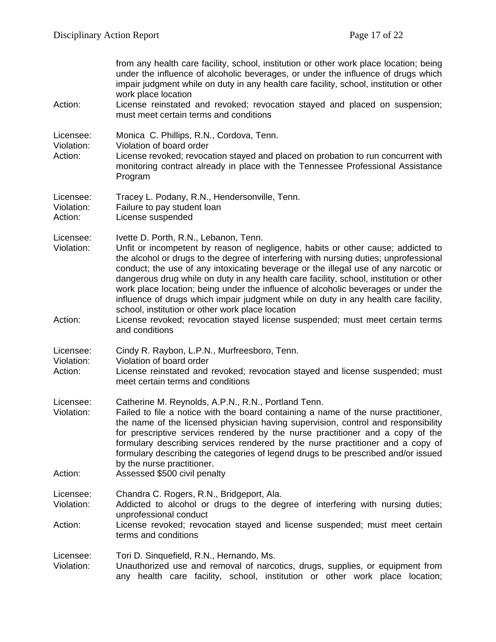| Action:                            | from any health care facility, school, institution or other work place location; being<br>under the influence of alcoholic beverages, or under the influence of drugs which<br>impair judgment while on duty in any health care facility, school, institution or other<br>work place location<br>License reinstated and revoked; revocation stayed and placed on suspension;<br>must meet certain terms and conditions                                                                                                                                                                                                                                                                                                                  |
|------------------------------------|-----------------------------------------------------------------------------------------------------------------------------------------------------------------------------------------------------------------------------------------------------------------------------------------------------------------------------------------------------------------------------------------------------------------------------------------------------------------------------------------------------------------------------------------------------------------------------------------------------------------------------------------------------------------------------------------------------------------------------------------|
| Licensee:<br>Violation:<br>Action: | Monica C. Phillips, R.N., Cordova, Tenn.<br>Violation of board order<br>License revoked; revocation stayed and placed on probation to run concurrent with<br>monitoring contract already in place with the Tennessee Professional Assistance<br>Program                                                                                                                                                                                                                                                                                                                                                                                                                                                                                 |
| Licensee:<br>Violation:<br>Action: | Tracey L. Podany, R.N., Hendersonville, Tenn.<br>Failure to pay student loan<br>License suspended                                                                                                                                                                                                                                                                                                                                                                                                                                                                                                                                                                                                                                       |
| Licensee:<br>Violation:<br>Action: | Ivette D. Porth, R.N., Lebanon, Tenn.<br>Unfit or incompetent by reason of negligence, habits or other cause; addicted to<br>the alcohol or drugs to the degree of interfering with nursing duties; unprofessional<br>conduct; the use of any intoxicating beverage or the illegal use of any narcotic or<br>dangerous drug while on duty in any health care facility, school, institution or other<br>work place location; being under the influence of alcoholic beverages or under the<br>influence of drugs which impair judgment while on duty in any health care facility,<br>school, institution or other work place location<br>License revoked; revocation stayed license suspended; must meet certain terms<br>and conditions |
| Licensee:<br>Violation:<br>Action: | Cindy R. Raybon, L.P.N., Murfreesboro, Tenn.<br>Violation of board order<br>License reinstated and revoked; revocation stayed and license suspended; must<br>meet certain terms and conditions                                                                                                                                                                                                                                                                                                                                                                                                                                                                                                                                          |
| Licensee:<br>Violation:<br>Action: | Catherine M. Reynolds, A.P.N., R.N., Portland Tenn.<br>Failed to file a notice with the board containing a name of the nurse practitioner,<br>the name of the licensed physician having supervision, control and responsibility<br>for prescriptive services rendered by the nurse practitioner and a copy of the<br>formulary describing services rendered by the nurse practitioner and a copy of<br>formulary describing the categories of legend drugs to be prescribed and/or issued<br>by the nurse practitioner.<br>Assessed \$500 civil penalty                                                                                                                                                                                 |
| Licensee:<br>Violation:<br>Action: | Chandra C. Rogers, R.N., Bridgeport, Ala.<br>Addicted to alcohol or drugs to the degree of interfering with nursing duties;<br>unprofessional conduct<br>License revoked; revocation stayed and license suspended; must meet certain<br>terms and conditions                                                                                                                                                                                                                                                                                                                                                                                                                                                                            |
| Licensee:<br>Violation:            | Tori D. Sinquefield, R.N., Hernando, Ms.<br>Unauthorized use and removal of narcotics, drugs, supplies, or equipment from<br>any health care facility, school, institution or other work place location;                                                                                                                                                                                                                                                                                                                                                                                                                                                                                                                                |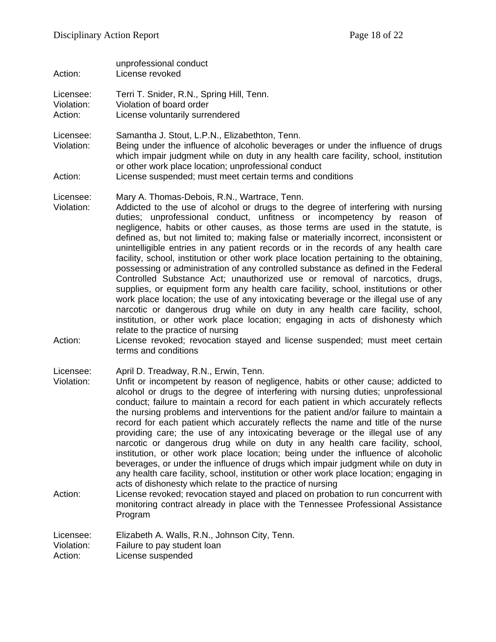unprofessional conduct

Action: License revoked Licensee: Terri T. Snider, R.N., Spring Hill, Tenn. Violation: Violation of board order Action: License voluntarily surrendered Licensee: Samantha J. Stout, L.P.N., Elizabethton, Tenn. Violation: Being under the influence of alcoholic beverages or under the influence of drugs which impair judgment while on duty in any health care facility, school, institution or other work place location; unprofessional conduct Action: License suspended; must meet certain terms and conditions Licensee: Mary A. Thomas-Debois, R.N., Wartrace, Tenn. Violation: Addicted to the use of alcohol or drugs to the degree of interfering with nursing duties; unprofessional conduct, unfitness or incompetency by reason of negligence, habits or other causes, as those terms are used in the statute, is defined as, but not limited to; making false or materially incorrect, inconsistent or unintelligible entries in any patient records or in the records of any health care facility, school, institution or other work place location pertaining to the obtaining, possessing or administration of any controlled substance as defined in the Federal Controlled Substance Act; unauthorized use or removal of narcotics, drugs, supplies, or equipment form any health care facility, school, institutions or other work place location; the use of any intoxicating beverage or the illegal use of any narcotic or dangerous drug while on duty in any health care facility, school, institution, or other work place location; engaging in acts of dishonesty which relate to the practice of nursing Action: License revoked; revocation stayed and license suspended; must meet certain terms and conditions Licensee: April D. Treadway, R.N., Erwin, Tenn. Violation: Unfit or incompetent by reason of negligence, habits or other cause; addicted to alcohol or drugs to the degree of interfering with nursing duties; unprofessional conduct; failure to maintain a record for each patient in which accurately reflects the nursing problems and interventions for the patient and/or failure to maintain a record for each patient which accurately reflects the name and title of the nurse providing care; the use of any intoxicating beverage or the illegal use of any narcotic or dangerous drug while on duty in any health care facility, school, institution, or other work place location; being under the influence of alcoholic beverages, or under the influence of drugs which impair judgment while on duty in any health care facility, school, institution or other work place location; engaging in acts of dishonesty which relate to the practice of nursing Action: License revoked; revocation stayed and placed on probation to run concurrent with monitoring contract already in place with the Tennessee Professional Assistance Program

Licensee: Elizabeth A. Walls, R.N., Johnson City, Tenn.<br>Violation: Failure to pay student loan

Failure to pay student loan

Action: License suspended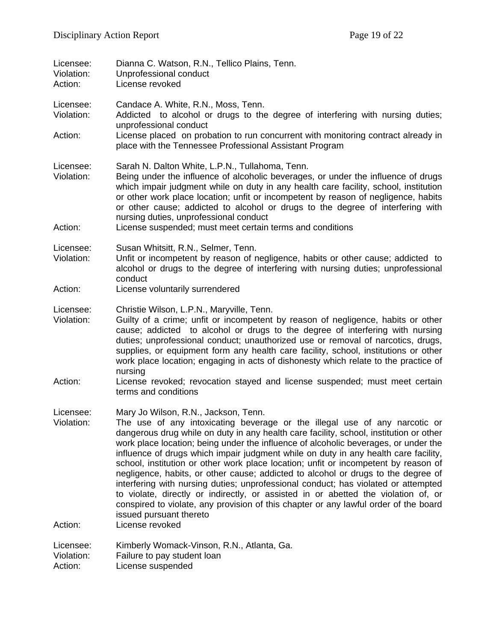| Licensee:<br>Violation:<br>Action: | Dianna C. Watson, R.N., Tellico Plains, Tenn.<br>Unprofessional conduct<br>License revoked                                                                                                                                                                                                                                                                                                                                                                                                                                                                                                                                                                                                                                                                                                                                                                            |
|------------------------------------|-----------------------------------------------------------------------------------------------------------------------------------------------------------------------------------------------------------------------------------------------------------------------------------------------------------------------------------------------------------------------------------------------------------------------------------------------------------------------------------------------------------------------------------------------------------------------------------------------------------------------------------------------------------------------------------------------------------------------------------------------------------------------------------------------------------------------------------------------------------------------|
| Licensee:<br>Violation:            | Candace A. White, R.N., Moss, Tenn.<br>Addicted to alcohol or drugs to the degree of interfering with nursing duties;<br>unprofessional conduct<br>License placed on probation to run concurrent with monitoring contract already in<br>place with the Tennessee Professional Assistant Program                                                                                                                                                                                                                                                                                                                                                                                                                                                                                                                                                                       |
| Action:                            |                                                                                                                                                                                                                                                                                                                                                                                                                                                                                                                                                                                                                                                                                                                                                                                                                                                                       |
| Licensee:<br>Violation:<br>Action: | Sarah N. Dalton White, L.P.N., Tullahoma, Tenn.<br>Being under the influence of alcoholic beverages, or under the influence of drugs<br>which impair judgment while on duty in any health care facility, school, institution<br>or other work place location; unfit or incompetent by reason of negligence, habits<br>or other cause; addicted to alcohol or drugs to the degree of interfering with<br>nursing duties, unprofessional conduct<br>License suspended; must meet certain terms and conditions                                                                                                                                                                                                                                                                                                                                                           |
|                                    |                                                                                                                                                                                                                                                                                                                                                                                                                                                                                                                                                                                                                                                                                                                                                                                                                                                                       |
| Licensee:<br>Violation:            | Susan Whitsitt, R.N., Selmer, Tenn.<br>Unfit or incompetent by reason of negligence, habits or other cause; addicted to<br>alcohol or drugs to the degree of interfering with nursing duties; unprofessional<br>conduct                                                                                                                                                                                                                                                                                                                                                                                                                                                                                                                                                                                                                                               |
| Action:                            | License voluntarily surrendered                                                                                                                                                                                                                                                                                                                                                                                                                                                                                                                                                                                                                                                                                                                                                                                                                                       |
| Licensee:<br>Violation:            | Christie Wilson, L.P.N., Maryville, Tenn.<br>Guilty of a crime; unfit or incompetent by reason of negligence, habits or other<br>cause; addicted to alcohol or drugs to the degree of interfering with nursing<br>duties; unprofessional conduct; unauthorized use or removal of narcotics, drugs,<br>supplies, or equipment form any health care facility, school, institutions or other<br>work place location; engaging in acts of dishonesty which relate to the practice of<br>nursing                                                                                                                                                                                                                                                                                                                                                                           |
| Action:                            | License revoked; revocation stayed and license suspended; must meet certain<br>terms and conditions                                                                                                                                                                                                                                                                                                                                                                                                                                                                                                                                                                                                                                                                                                                                                                   |
| Licensee:<br>Violation:            | Mary Jo Wilson, R.N., Jackson, Tenn.<br>The use of any intoxicating beverage or the illegal use of any narcotic or<br>dangerous drug while on duty in any health care facility, school, institution or other<br>work place location; being under the influence of alcoholic beverages, or under the<br>influence of drugs which impair judgment while on duty in any health care facility,<br>school, institution or other work place location; unfit or incompetent by reason of<br>negligence, habits, or other cause; addicted to alcohol or drugs to the degree of<br>interfering with nursing duties; unprofessional conduct; has violated or attempted<br>to violate, directly or indirectly, or assisted in or abetted the violation of, or<br>conspired to violate, any provision of this chapter or any lawful order of the board<br>issued pursuant thereto |
| Action:                            | License revoked                                                                                                                                                                                                                                                                                                                                                                                                                                                                                                                                                                                                                                                                                                                                                                                                                                                       |
| Licensee:<br>Violation:<br>Action: | Kimberly Womack-Vinson, R.N., Atlanta, Ga.<br>Failure to pay student loan<br>License suspended                                                                                                                                                                                                                                                                                                                                                                                                                                                                                                                                                                                                                                                                                                                                                                        |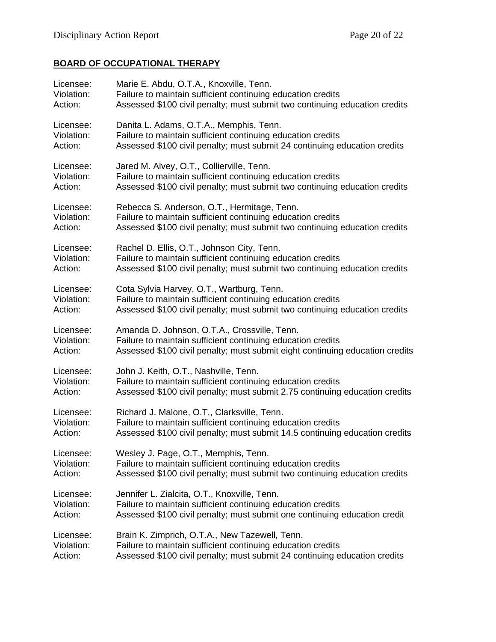# **BOARD OF OCCUPATIONAL THERAPY**

| Licensee:  | Marie E. Abdu, O.T.A., Knoxville, Tenn.                                      |
|------------|------------------------------------------------------------------------------|
| Violation: | Failure to maintain sufficient continuing education credits                  |
| Action:    | Assessed \$100 civil penalty; must submit two continuing education credits   |
| Licensee:  | Danita L. Adams, O.T.A., Memphis, Tenn.                                      |
| Violation: | Failure to maintain sufficient continuing education credits                  |
| Action:    | Assessed \$100 civil penalty; must submit 24 continuing education credits    |
| Licensee:  | Jared M. Alvey, O.T., Collierville, Tenn.                                    |
| Violation: | Failure to maintain sufficient continuing education credits                  |
| Action:    | Assessed \$100 civil penalty; must submit two continuing education credits   |
| Licensee:  | Rebecca S. Anderson, O.T., Hermitage, Tenn.                                  |
| Violation: | Failure to maintain sufficient continuing education credits                  |
| Action:    | Assessed \$100 civil penalty; must submit two continuing education credits   |
| Licensee:  | Rachel D. Ellis, O.T., Johnson City, Tenn.                                   |
| Violation: | Failure to maintain sufficient continuing education credits                  |
| Action:    | Assessed \$100 civil penalty; must submit two continuing education credits   |
| Licensee:  | Cota Sylvia Harvey, O.T., Wartburg, Tenn.                                    |
| Violation: | Failure to maintain sufficient continuing education credits                  |
| Action:    | Assessed \$100 civil penalty; must submit two continuing education credits   |
| Licensee:  | Amanda D. Johnson, O.T.A., Crossville, Tenn.                                 |
| Violation: | Failure to maintain sufficient continuing education credits                  |
| Action:    | Assessed \$100 civil penalty; must submit eight continuing education credits |
| Licensee:  | John J. Keith, O.T., Nashville, Tenn.                                        |
| Violation: | Failure to maintain sufficient continuing education credits                  |
| Action:    | Assessed \$100 civil penalty; must submit 2.75 continuing education credits  |
| Licensee:  | Richard J. Malone, O.T., Clarksville, Tenn.                                  |
| Violation: | Failure to maintain sufficient continuing education credits                  |
| Action:    | Assessed \$100 civil penalty; must submit 14.5 continuing education credits  |
| Licensee:  | Wesley J. Page, O.T., Memphis, Tenn.                                         |
| Violation: | Failure to maintain sufficient continuing education credits                  |
| Action:    | Assessed \$100 civil penalty; must submit two continuing education credits   |
| Licensee:  | Jennifer L. Zialcita, O.T., Knoxville, Tenn.                                 |
| Violation: | Failure to maintain sufficient continuing education credits                  |
| Action:    | Assessed \$100 civil penalty; must submit one continuing education credit    |
| Licensee:  | Brain K. Zimprich, O.T.A., New Tazewell, Tenn.                               |
| Violation: | Failure to maintain sufficient continuing education credits                  |
| Action:    | Assessed \$100 civil penalty; must submit 24 continuing education credits    |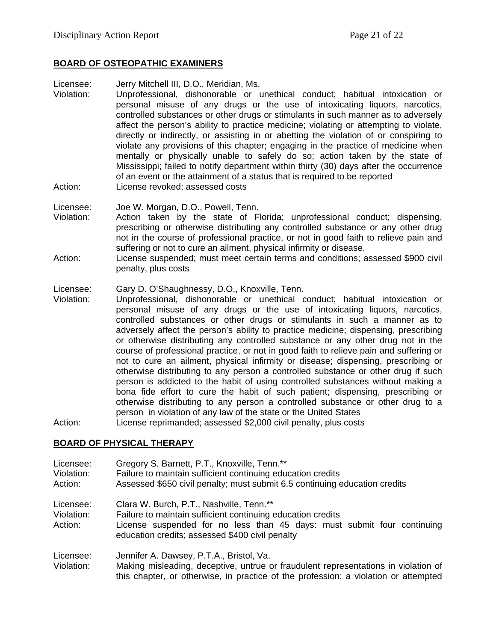## **BOARD OF OSTEOPATHIC EXAMINERS**

Licensee: Jerry Mitchell III, D.O., Meridian, Ms.

Violation: Unprofessional, dishonorable or unethical conduct; habitual intoxication or personal misuse of any drugs or the use of intoxicating liquors, narcotics, controlled substances or other drugs or stimulants in such manner as to adversely affect the person's ability to practice medicine; violating or attempting to violate, directly or indirectly, or assisting in or abetting the violation of or conspiring to violate any provisions of this chapter; engaging in the practice of medicine when mentally or physically unable to safely do so; action taken by the state of Mississippi; failed to notify department within thirty (30) days after the occurrence of an event or the attainment of a status that is required to be reported Action: License revoked; assessed costs

Licensee: Joe W. Morgan, D.O., Powell, Tenn.

- Violation: Action taken by the state of Florida; unprofessional conduct; dispensing, prescribing or otherwise distributing any controlled substance or any other drug not in the course of professional practice, or not in good faith to relieve pain and suffering or not to cure an ailment, physical infirmity or disease.
- Action: License suspended; must meet certain terms and conditions; assessed \$900 civil penalty, plus costs

Licensee: Gary D. O'Shaughnessy, D.O., Knoxville, Tenn.

Violation: Unprofessional, dishonorable or unethical conduct; habitual intoxication or personal misuse of any drugs or the use of intoxicating liquors, narcotics, controlled substances or other drugs or stimulants in such a manner as to adversely affect the person's ability to practice medicine; dispensing, prescribing or otherwise distributing any controlled substance or any other drug not in the course of professional practice, or not in good faith to relieve pain and suffering or not to cure an ailment, physical infirmity or disease; dispensing, prescribing or otherwise distributing to any person a controlled substance or other drug if such person is addicted to the habit of using controlled substances without making a bona fide effort to cure the habit of such patient; dispensing, prescribing or otherwise distributing to any person a controlled substance or other drug to a person in violation of any law of the state or the United States

Action: License reprimanded; assessed \$2,000 civil penalty, plus costs

#### **BOARD OF PHYSICAL THERAPY**

| Licensee:<br>Violation:<br>Action: | Gregory S. Barnett, P.T., Knoxville, Tenn.**<br>Failure to maintain sufficient continuing education credits<br>Assessed \$650 civil penalty; must submit 6.5 continuing education credits                                             |
|------------------------------------|---------------------------------------------------------------------------------------------------------------------------------------------------------------------------------------------------------------------------------------|
| Licensee:<br>Violation:<br>Action: | Clara W. Burch, P.T., Nashville, Tenn.**<br>Failure to maintain sufficient continuing education credits<br>License suspended for no less than 45 days: must submit four continuing<br>education credits; assessed \$400 civil penalty |
| Licensee:<br>Violation:            | Jennifer A. Dawsey, P.T.A., Bristol, Va.<br>Making misleading, deceptive, untrue or fraudulent representations in violation of<br>this chapter, or otherwise, in practice of the profession; a violation or attempted                 |